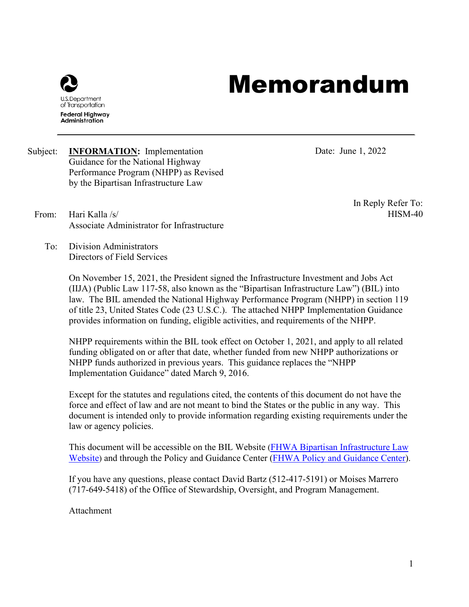

# Memorandum

Subject: **INFORMATION:** Implementation Guidance for the National Highway Performance Program (NHPP) as Revised by the Bipartisan Infrastructure Law

Date: June 1, 2022

From: Hari Kalla /s/ Associate Administrator for Infrastructure In Reply Refer To: HISM-40

To: Division Administrators Directors of Field Services

> On November 15, 2021, the President signed the Infrastructure Investment and Jobs Act (IIJA) (Public Law 117-58, also known as the "Bipartisan Infrastructure Law") (BIL) into law. The BIL amended the National Highway Performance Program (NHPP) in section 119 of title 23, United States Code (23 U.S.C.). The attached NHPP Implementation Guidance provides information on funding, eligible activities, and requirements of the NHPP.

NHPP requirements within the BIL took effect on October 1, 2021, and apply to all related funding obligated on or after that date, whether funded from new NHPP authorizations or NHPP funds authorized in previous years. This guidance replaces the "NHPP Implementation Guidance" dated March 9, 2016.

Except for the statutes and regulations cited, the contents of this document do not have the force and effect of law and are not meant to bind the States or the public in any way. This document is intended only to provide information regarding existing requirements under the law or agency policies.

This document will be accessible on the BIL Website [\(FHWA Bipartisan Infrastructure Law](https://www.fhwa.dot.gov/bipartisan-infrastructure-law/)  [Website\)](https://www.fhwa.dot.gov/bipartisan-infrastructure-law/) and through the Policy and Guidance Center [\(FHWA Policy and Guidance Center\)](https://www.fhwa.dot.gov/pgc/).

If you have any questions, please contact David Bartz (512-417-5191) or Moises Marrero (717-649-5418) of the Office of Stewardship, Oversight, and Program Management.

Attachment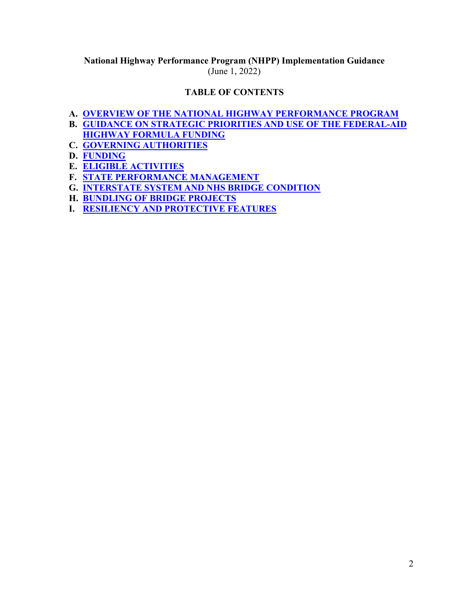## **National Highway Performance Program (NHPP) Implementation Guidance**  (June 1, 2022)

# **TABLE OF CONTENTS**

- **A. [OVERVIEW OF THE NATIONAL HIGHWAY PERFORMANCE PROGRAM](#page-2-0)**
- **B. [GUIDANCE ON STRATEGIC PRIORITIES AND USE OF THE FEDERAL-AID](#page-2-1)**
- **[HIGHWAY FORMULA FUNDING](#page-2-1)**
- **C. [GOVERNING AUTHORITIES](#page-8-0)**
- **D. [FUNDING](#page-8-1)**
- **E. [ELIGIBLE ACTIVITIES](#page-11-0)**
- **F. [STATE PERFORMANCE MANAGEMENT](#page-13-0)**
- **G. [INTERSTATE SYSTEM AND NHS BRIDGE CONDITION](#page-14-0)**
- **H. [BUNDLING OF BRIDGE PROJECTS](#page-14-1)**
- **I. [RESILIENCY AND PROTECTIVE FEATURES](#page-15-0)**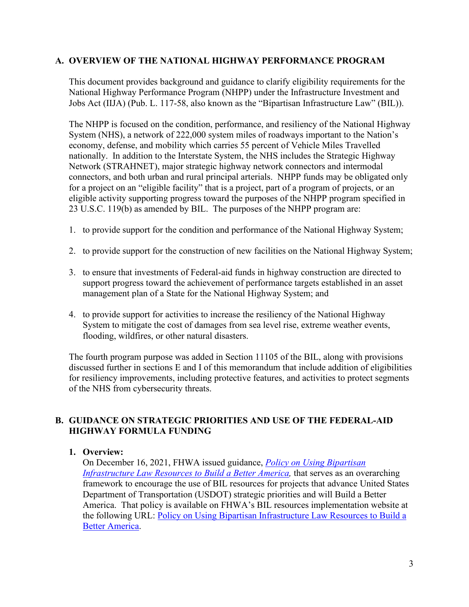#### <span id="page-2-0"></span>**A. OVERVIEW OF THE NATIONAL HIGHWAY PERFORMANCE PROGRAM**

This document provides background and guidance to clarify eligibility requirements for the National Highway Performance Program (NHPP) under the Infrastructure Investment and Jobs Act (IIJA) (Pub. L. 117-58, also known as the "Bipartisan Infrastructure Law" (BIL)).

The NHPP is focused on the condition, performance, and resiliency of the National Highway System (NHS), a network of 222,000 system miles of roadways important to the Nation's economy, defense, and mobility which carries 55 percent of Vehicle Miles Travelled nationally. In addition to the Interstate System, the NHS includes the Strategic Highway Network (STRAHNET), major strategic highway network connectors and intermodal connectors, and both urban and rural principal arterials. NHPP funds may be obligated only for a project on an "eligible facility" that is a project, part of a program of projects, or an eligible activity supporting progress toward the purposes of the NHPP program specified in 23 U.S.C. 119(b) as amended by BIL. The purposes of the NHPP program are:

- 1. to provide support for the condition and performance of the National Highway System;
- 2. to provide support for the construction of new facilities on the National Highway System;
- 3. to ensure that investments of Federal-aid funds in highway construction are directed to support progress toward the achievement of performance targets established in an asset management plan of a State for the National Highway System; and
- 4. to provide support for activities to increase the resiliency of the National Highway System to mitigate the cost of damages from sea level rise, extreme weather events, flooding, wildfires, or other natural disasters.

The fourth program purpose was added in Section 11105 of the BIL, along with provisions discussed further in sections E and I of this memorandum that include addition of eligibilities for resiliency improvements, including protective features, and activities to protect segments of the NHS from cybersecurity threats.

# <span id="page-2-1"></span>**B. GUIDANCE ON STRATEGIC PRIORITIES AND USE OF THE FEDERAL-AID HIGHWAY FORMULA FUNDING**

#### **1. Overview:**

On December 16, 2021, FHWA issued guidance, *[Policy on Using Bipartisan](https://www.fhwa.dot.gov/bipartisan-infrastructure-law/building_a_better_america-policy_framework.cfm)  Infrastructure Law Resources to Build a Better America*, that serves as an overarching framework to encourage the use of BIL resources for projects that advance United States Department of Transportation (USDOT) strategic priorities and will Build a Better America. That policy is available on FHWA's BIL resources implementation website at the following URL: [Policy on Using Bipartisan Infrastructure Law Resources to Build a](https://www.fhwa.dot.gov/bipartisan-infrastructure-law/building_a_better_america-policy_framework.cfm)  [Better America.](https://www.fhwa.dot.gov/bipartisan-infrastructure-law/building_a_better_america-policy_framework.cfm)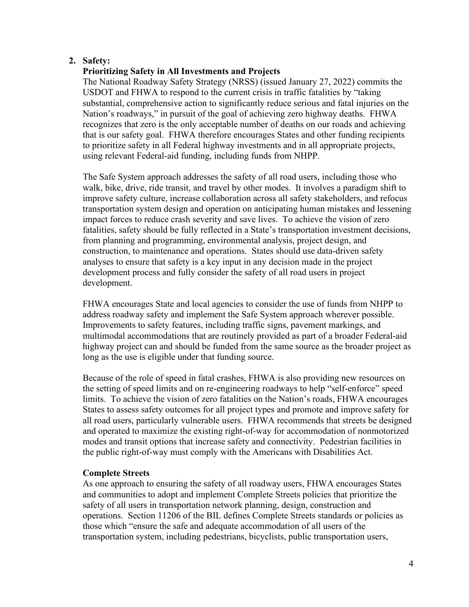## **2. Safety:**

## **Prioritizing Safety in All Investments and Projects**

The National Roadway Safety Strategy (NRSS) (issued January 27, 2022) commits the USDOT and FHWA to respond to the current crisis in traffic fatalities by "taking substantial, comprehensive action to significantly reduce serious and fatal injuries on the Nation's roadways," in pursuit of the goal of achieving zero highway deaths. FHWA recognizes that zero is the only acceptable number of deaths on our roads and achieving that is our safety goal. FHWA therefore encourages States and other funding recipients to prioritize safety in all Federal highway investments and in all appropriate projects, using relevant Federal-aid funding, including funds from NHPP.

The Safe System approach addresses the safety of all road users, including those who walk, bike, drive, ride transit, and travel by other modes. It involves a paradigm shift to improve safety culture, increase collaboration across all safety stakeholders, and refocus transportation system design and operation on anticipating human mistakes and lessening impact forces to reduce crash severity and save lives. To achieve the vision of zero fatalities, safety should be fully reflected in a State's transportation investment decisions, from planning and programming, environmental analysis, project design, and construction, to maintenance and operations. States should use data-driven safety analyses to ensure that safety is a key input in any decision made in the project development process and fully consider the safety of all road users in project development.

FHWA encourages State and local agencies to consider the use of funds from NHPP to address roadway safety and implement the Safe System approach wherever possible. Improvements to safety features, including traffic signs, pavement markings, and multimodal accommodations that are routinely provided as part of a broader Federal-aid highway project can and should be funded from the same source as the broader project as long as the use is eligible under that funding source.

Because of the role of speed in fatal crashes, FHWA is also providing new resources on the setting of speed limits and on re-engineering roadways to help "self-enforce" speed limits. To achieve the vision of zero fatalities on the Nation's roads, FHWA encourages States to assess safety outcomes for all project types and promote and improve safety for all road users, particularly vulnerable users. FHWA recommends that streets be designed and operated to maximize the existing right-of-way for accommodation of nonmotorized modes and transit options that increase safety and connectivity. Pedestrian facilities in the public right-of-way must comply with the Americans with Disabilities Act.

#### **Complete Streets**

As one approach to ensuring the safety of all roadway users, FHWA encourages States and communities to adopt and implement Complete Streets policies that prioritize the safety of all users in transportation network planning, design, construction and operations. Section 11206 of the BIL defines Complete Streets standards or policies as those which "ensure the safe and adequate accommodation of all users of the transportation system, including pedestrians, bicyclists, public transportation users,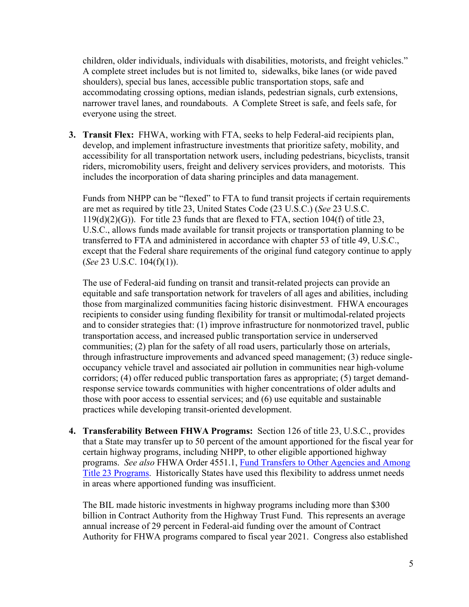children, older individuals, individuals with disabilities, motorists, and freight vehicles." A complete street includes but is not limited to, sidewalks, bike lanes (or wide paved shoulders), special bus lanes, accessible public transportation stops, safe and accommodating crossing options, median islands, pedestrian signals, curb extensions, narrower travel lanes, and roundabouts. A Complete Street is safe, and feels safe, for everyone using the street.

**3. Transit Flex:** FHWA, working with FTA, seeks to help Federal-aid recipients plan, develop, and implement infrastructure investments that prioritize safety, mobility, and accessibility for all transportation network users, including pedestrians, bicyclists, transit riders, micromobility users, freight and delivery services providers, and motorists. This includes the incorporation of data sharing principles and data management.

Funds from NHPP can be "flexed" to FTA to fund transit projects if certain requirements are met as required by title 23, United States Code (23 U.S.C.) (*See* 23 U.S.C. 119(d)(2)(G)). For title 23 funds that are flexed to FTA, section 104(f) of title 23, U.S.C., allows funds made available for transit projects or transportation planning to be transferred to FTA and administered in accordance with chapter 53 of title 49, U.S.C., except that the Federal share requirements of the original fund category continue to apply (*See* 23 U.S.C. 104(f)(1)).

The use of Federal-aid funding on transit and transit-related projects can provide an equitable and safe transportation network for travelers of all ages and abilities, including those from marginalized communities facing historic disinvestment. FHWA encourages recipients to consider using funding flexibility for transit or multimodal-related projects and to consider strategies that: (1) improve infrastructure for nonmotorized travel, public transportation access, and increased public transportation service in underserved communities; (2) plan for the safety of all road users, particularly those on arterials, through infrastructure improvements and advanced speed management; (3) reduce singleoccupancy vehicle travel and associated air pollution in communities near high-volume corridors; (4) offer reduced public transportation fares as appropriate; (5) target demandresponse service towards communities with higher concentrations of older adults and those with poor access to essential services; and (6) use equitable and sustainable practices while developing transit-oriented development.

**4. Transferability Between FHWA Programs:** Section 126 of title 23, U.S.C., provides that a State may transfer up to 50 percent of the amount apportioned for the fiscal year for certain highway programs, including NHPP, to other eligible apportioned highway programs. *See also* FHWA Order 4551.1, [Fund Transfers to Other Agencies and Among](http://www.fhwa.dot.gov/legsregs/directives/orders/45511.cfm)  [Title 23 Programs.](http://www.fhwa.dot.gov/legsregs/directives/orders/45511.cfm) Historically States have used this flexibility to address unmet needs in areas where apportioned funding was insufficient.

The BIL made historic investments in highway programs including more than \$300 billion in Contract Authority from the Highway Trust Fund. This represents an average annual increase of 29 percent in Federal-aid funding over the amount of Contract Authority for FHWA programs compared to fiscal year 2021. Congress also established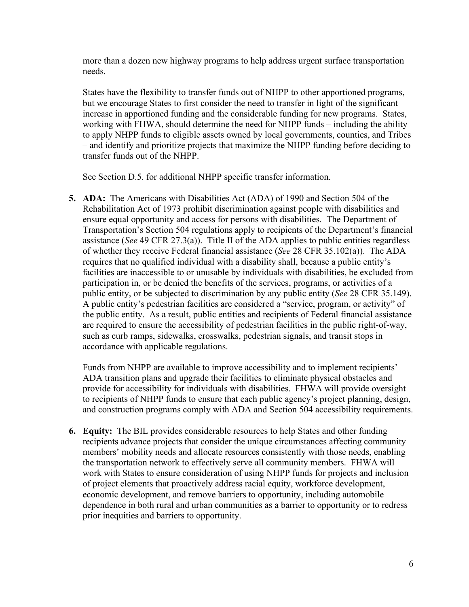more than a dozen new highway programs to help address urgent surface transportation needs.

States have the flexibility to transfer funds out of NHPP to other apportioned programs, but we encourage States to first consider the need to transfer in light of the significant increase in apportioned funding and the considerable funding for new programs. States, working with FHWA, should determine the need for NHPP funds – including the ability to apply NHPP funds to eligible assets owned by local governments, counties, and Tribes – and identify and prioritize projects that maximize the NHPP funding before deciding to transfer funds out of the NHPP.

See Section D.5. for additional NHPP specific transfer information.

**5. ADA:** The Americans with Disabilities Act (ADA) of 1990 and Section 504 of the Rehabilitation Act of 1973 prohibit discrimination against people with disabilities and ensure equal opportunity and access for persons with disabilities. The Department of Transportation's Section 504 regulations apply to recipients of the Department's financial assistance (*See* 49 CFR 27.3(a)). Title II of the ADA applies to public entities regardless of whether they receive Federal financial assistance (*See* 28 CFR 35.102(a)). The ADA requires that no qualified individual with a disability shall, because a public entity's facilities are inaccessible to or unusable by individuals with disabilities, be excluded from participation in, or be denied the benefits of the services, programs, or activities of a public entity, or be subjected to discrimination by any public entity (*See* 28 CFR 35.149). A public entity's pedestrian facilities are considered a "service, program, or activity" of the public entity. As a result, public entities and recipients of Federal financial assistance are required to ensure the accessibility of pedestrian facilities in the public right-of-way, such as curb ramps, sidewalks, crosswalks, pedestrian signals, and transit stops in accordance with applicable regulations.

Funds from NHPP are available to improve accessibility and to implement recipients' ADA transition plans and upgrade their facilities to eliminate physical obstacles and provide for accessibility for individuals with disabilities. FHWA will provide oversight to recipients of NHPP funds to ensure that each public agency's project planning, design, and construction programs comply with ADA and Section 504 accessibility requirements.

**6. Equity:** The BIL provides considerable resources to help States and other funding recipients advance projects that consider the unique circumstances affecting community members' mobility needs and allocate resources consistently with those needs, enabling the transportation network to effectively serve all community members. FHWA will work with States to ensure consideration of using NHPP funds for projects and inclusion of project elements that proactively address racial equity, workforce development, economic development, and remove barriers to opportunity, including automobile dependence in both rural and urban communities as a barrier to opportunity or to redress prior inequities and barriers to opportunity.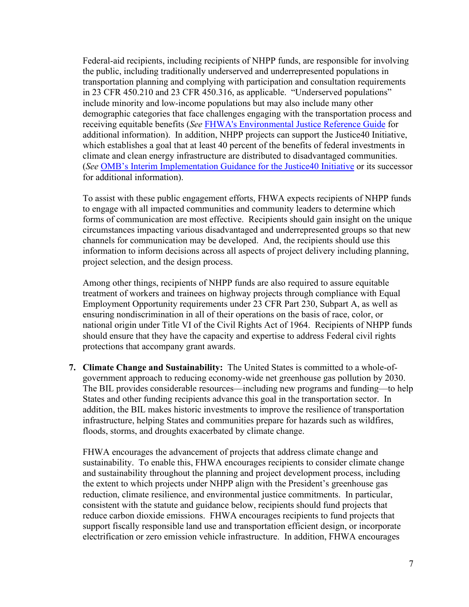Federal-aid recipients, including recipients of NHPP funds, are responsible for involving the public, including traditionally underserved and underrepresented populations in transportation planning and complying with participation and consultation requirements in 23 CFR 450.210 and 23 CFR 450.316, as applicable. "Underserved populations" include minority and low-income populations but may also include many other demographic categories that face challenges engaging with the transportation process and receiving equitable benefits (*See* [FHWA's Environmental Justice Reference Guide](https://www.fhwa.dot.gov/environment/environmental_justice/publications/reference_guide_2015/fhwahep15035..pdf) for additional information). In addition, NHPP projects can support the Justice40 Initiative, which establishes a goal that at least 40 percent of the benefits of federal investments in climate and clean energy infrastructure are distributed to disadvantaged communities. (*See* [OMB's Interim Implementation Guidance for the Justice40 Initiative](https://www.whitehouse.gov/wp-content/uploads/2021/07/M-21-28.pdf) or its successor for additional information).

To assist with these public engagement efforts, FHWA expects recipients of NHPP funds to engage with all impacted communities and community leaders to determine which forms of communication are most effective. Recipients should gain insight on the unique circumstances impacting various disadvantaged and underrepresented groups so that new channels for communication may be developed. And, the recipients should use this information to inform decisions across all aspects of project delivery including planning, project selection, and the design process.

Among other things, recipients of NHPP funds are also required to assure equitable treatment of workers and trainees on highway projects through compliance with Equal Employment Opportunity requirements under 23 CFR Part 230, Subpart A, as well as ensuring nondiscrimination in all of their operations on the basis of race, color, or national origin under Title VI of the Civil Rights Act of 1964. Recipients of NHPP funds should ensure that they have the capacity and expertise to address Federal civil rights protections that accompany grant awards.

**7. Climate Change and Sustainability:** The United States is committed to a whole-ofgovernment approach to reducing economy-wide net greenhouse gas pollution by 2030. The BIL provides considerable resources—including new programs and funding—to help States and other funding recipients advance this goal in the transportation sector. In addition, the BIL makes historic investments to improve the resilience of transportation infrastructure, helping States and communities prepare for hazards such as wildfires, floods, storms, and droughts exacerbated by climate change.

FHWA encourages the advancement of projects that address climate change and sustainability. To enable this, FHWA encourages recipients to consider climate change and sustainability throughout the planning and project development process, including the extent to which projects under NHPP align with the President's greenhouse gas reduction, climate resilience, and environmental justice commitments. In particular, consistent with the statute and guidance below, recipients should fund projects that reduce carbon dioxide emissions. FHWA encourages recipients to fund projects that support fiscally responsible land use and transportation efficient design, or incorporate electrification or zero emission vehicle infrastructure. In addition, FHWA encourages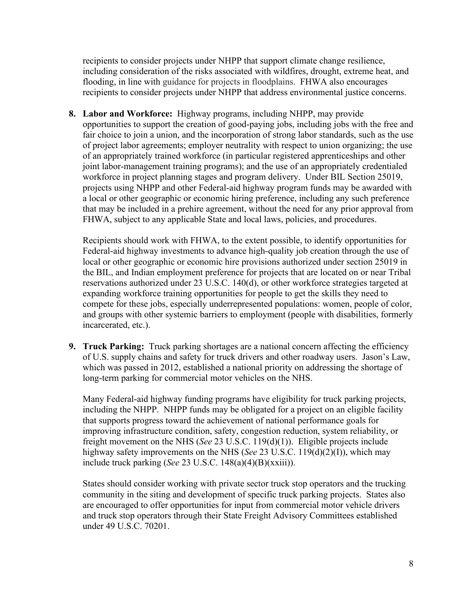recipients to consider projects under NHPP that support climate change resilience, including consideration of the risks associated with wildfires, drought, extreme heat, and flooding, in line with guidance for projects in floodplains. FHWA also encourages recipients to consider projects under NHPP that address environmental justice concerns.

**8. Labor and Workforce:** Highway programs, including NHPP, may provide opportunities to support the creation of good-paying jobs, including jobs with the free and fair choice to join a union, and the incorporation of strong labor standards, such as the use of project labor agreements; employer neutrality with respect to union organizing; the use of an appropriately trained workforce (in particular registered apprenticeships and other joint labor-management training programs); and the use of an appropriately credentialed workforce in project planning stages and program delivery. Under BIL Section 25019, projects using NHPP and other Federal-aid highway program funds may be awarded with a local or other geographic or economic hiring preference, including any such preference that may be included in a prehire agreement, without the need for any prior approval from FHWA, subject to any applicable State and local laws, policies, and procedures.

Recipients should work with FHWA, to the extent possible, to identify opportunities for Federal-aid highway investments to advance high-quality job creation through the use of local or other geographic or economic hire provisions authorized under section 25019 in the BIL, and Indian employment preference for projects that are located on or near Tribal reservations authorized under 23 U.S.C. 140(d), or other workforce strategies targeted at expanding workforce training opportunities for people to get the skills they need to compete for these jobs, especially underrepresented populations: women, people of color, and groups with other systemic barriers to employment (people with disabilities, formerly incarcerated, etc.).

**9. Truck Parking:** Truck parking shortages are a national concern affecting the efficiency of U.S. supply chains and safety for truck drivers and other roadway users. Jason's Law, which was passed in 2012, established a national priority on addressing the shortage of long-term parking for commercial motor vehicles on the NHS.

Many Federal-aid highway funding programs have eligibility for truck parking projects, including the NHPP. NHPP funds may be obligated for a project on an eligible facility that supports progress toward the achievement of national performance goals for improving infrastructure condition, safety, congestion reduction, system reliability, or freight movement on the NHS (*See* 23 U.S.C. 119(d)(1)). Eligible projects include highway safety improvements on the NHS (*See* 23 U.S.C. 119(d)(2)(I)), which may include truck parking (*See* 23 U.S.C. 148(a)(4)(B)(xxiii)).

States should consider working with private sector truck stop operators and the trucking community in the siting and development of specific truck parking projects. States also are encouraged to offer opportunities for input from commercial motor vehicle drivers and truck stop operators through their State Freight Advisory Committees established under 49 U.S.C. 70201.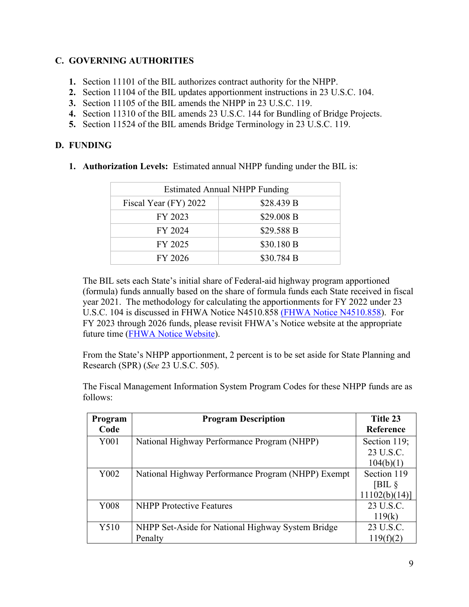# <span id="page-8-0"></span>**C. GOVERNING AUTHORITIES**

- **1.** Section 11101 of the BIL authorizes contract authority for the NHPP.
- **2.** Section 11104 of the BIL updates apportionment instructions in 23 U.S.C. 104.
- **3.** Section 11105 of the BIL amends the NHPP in 23 U.S.C. 119.
- **4.** Section 11310 of the BIL amends 23 U.S.C. 144 for Bundling of Bridge Projects.
- **5.** Section 11524 of the BIL amends Bridge Terminology in 23 U.S.C. 119.

#### <span id="page-8-1"></span>**D. FUNDING**

**1. Authorization Levels:** Estimated annual NHPP funding under the BIL is:

| <b>Estimated Annual NHPP Funding</b> |            |  |
|--------------------------------------|------------|--|
| Fiscal Year (FY) 2022                | \$28.439 B |  |
| FY 2023                              | \$29.008 B |  |
| FY 2024                              | \$29.588 B |  |
| FY 2025                              | \$30.180 B |  |
| FY 2026                              | \$30.784 B |  |

The BIL sets each State's initial share of Federal-aid highway program apportioned (formula) funds annually based on the share of formula funds each State received in fiscal year 2021. The methodology for calculating the apportionments for FY 2022 under 23 U.S.C. 104 is discussed in FHWA Notice N4510.858 [\(FHWA Notice N4510.858\)](https://www.fhwa.dot.gov/legsregs/directives/notices/n4510858/). For FY 2023 through 2026 funds, please revisit FHWA's Notice website at the appropriate future time [\(FHWA Notice Website\)](https://www.fhwa.dot.gov/legsregs/directives/notices/).

From the State's NHPP apportionment, 2 percent is to be set aside for State Planning and Research (SPR) (*See* 23 U.S.C. 505).

The Fiscal Management Information System Program Codes for these NHPP funds are as follows:

| Program<br>Code  | <b>Program Description</b>                                   | Title 23<br>Reference                  |
|------------------|--------------------------------------------------------------|----------------------------------------|
| Y <sub>001</sub> | National Highway Performance Program (NHPP)                  | Section 119;<br>23 U.S.C.<br>104(b)(1) |
| Y002             | National Highway Performance Program (NHPP) Exempt           | Section 119<br>[BIL §<br>11102(b)(14)  |
| Y008             | <b>NHPP</b> Protective Features                              | 23 U.S.C.<br>119(k)                    |
| Y510             | NHPP Set-Aside for National Highway System Bridge<br>Penalty | 23 U.S.C.<br>119(f)(2)                 |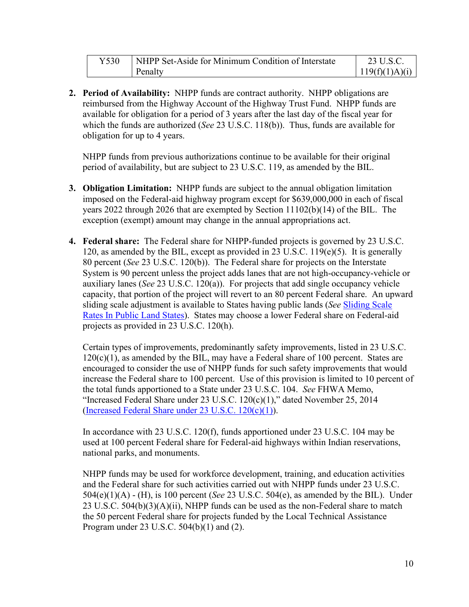| NHPP Set-Aside for Minimum Condition of Interstate | 23 U.S.C.      |
|----------------------------------------------------|----------------|
| Penalty                                            | 119(f)(1)A)(i) |

**2. Period of Availability:** NHPP funds are contract authority. NHPP obligations are reimbursed from the Highway Account of the Highway Trust Fund. NHPP funds are available for obligation for a period of 3 years after the last day of the fiscal year for which the funds are authorized (*See* 23 U.S.C. 118(b)). Thus, funds are available for obligation for up to 4 years.

NHPP funds from previous authorizations continue to be available for their original period of availability, but are subject to 23 U.S.C. 119, as amended by the BIL.

- **3. Obligation Limitation:** NHPP funds are subject to the annual obligation limitation imposed on the Federal-aid highway program except for \$639,000,000 in each of fiscal years 2022 through 2026 that are exempted by Section 11102(b)(14) of the BIL. The exception (exempt) amount may change in the annual appropriations act.
- **4. Federal share:** The Federal share for NHPP-funded projects is governed by 23 U.S.C. 120, as amended by the BIL, except as provided in 23 U.S.C. 119(e)(5). It is generally 80 percent (*See* 23 U.S.C. 120(b)). The Federal share for projects on the Interstate System is 90 percent unless the project adds lanes that are not high-occupancy-vehicle or auxiliary lanes (*See* 23 U.S.C. 120(a)). For projects that add single occupancy vehicle capacity, that portion of the project will revert to an 80 percent Federal share. An upward sliding scale adjustment is available to States having public lands (*See* [Sliding Scale](http://www.fhwa.dot.gov/legsregs/directives/notices/n4540-12.cfm)  [Rates In Public Land States\)](http://www.fhwa.dot.gov/legsregs/directives/notices/n4540-12.cfm). States may choose a lower Federal share on Federal-aid projects as provided in 23 U.S.C. 120(h).

Certain types of improvements, predominantly safety improvements, listed in 23 U.S.C.  $120(c)(1)$ , as amended by the BIL, may have a Federal share of 100 percent. States are encouraged to consider the use of NHPP funds for such safety improvements that would increase the Federal share to 100 percent. Use of this provision is limited to 10 percent of the total funds apportioned to a State under 23 U.S.C. 104. *See* FHWA Memo, "Increased Federal Share under 23 U.S.C. 120(c)(1)," dated November 25, 2014 [\(Increased Federal Share under 23 U.S.C. 120\(c\)\(1\)\)](http://www.fhwa.dot.gov/federalaid/141125.cfm).

In accordance with 23 U.S.C. 120(f), funds apportioned under 23 U.S.C. 104 may be used at 100 percent Federal share for Federal-aid highways within Indian reservations, national parks, and monuments.

NHPP funds may be used for workforce development, training, and education activities and the Federal share for such activities carried out with NHPP funds under 23 U.S.C. 504(e)(1)(A) - (H), is 100 percent (*See* 23 U.S.C. 504(e), as amended by the BIL). Under 23 U.S.C. 504(b)(3)(A)(ii), NHPP funds can be used as the non-Federal share to match the 50 percent Federal share for projects funded by the Local Technical Assistance Program under 23 U.S.C. 504(b)(1) and (2).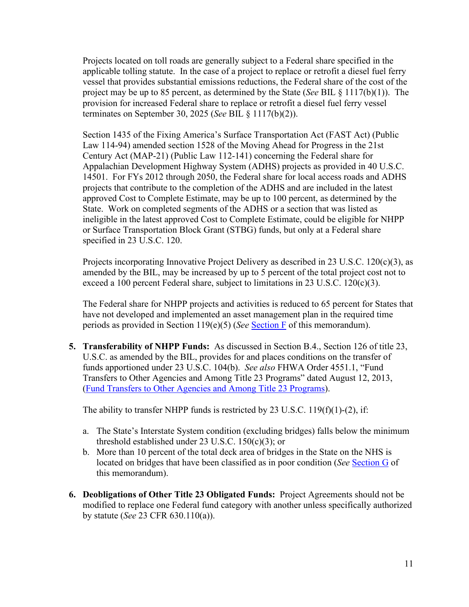Projects located on toll roads are generally subject to a Federal share specified in the applicable tolling statute. In the case of a project to replace or retrofit a diesel fuel ferry vessel that provides substantial emissions reductions, the Federal share of the cost of the project may be up to 85 percent, as determined by the State (*See* BIL § 1117(b)(1)). The provision for increased Federal share to replace or retrofit a diesel fuel ferry vessel terminates on September 30, 2025 (*See* BIL § 1117(b)(2)).

Section 1435 of the Fixing America's Surface Transportation Act (FAST Act) (Public Law 114-94) amended section 1528 of the Moving Ahead for Progress in the 21st Century Act (MAP-21) (Public Law 112-141) concerning the Federal share for Appalachian Development Highway System (ADHS) projects as provided in 40 U.S.C. 14501. For FYs 2012 through 2050, the Federal share for local access roads and ADHS projects that contribute to the completion of the ADHS and are included in the latest approved Cost to Complete Estimate, may be up to 100 percent, as determined by the State. Work on completed segments of the ADHS or a section that was listed as ineligible in the latest approved Cost to Complete Estimate, could be eligible for NHPP or Surface Transportation Block Grant (STBG) funds, but only at a Federal share specified in 23 U.S.C. 120.

Projects incorporating Innovative Project Delivery as described in 23 U.S.C. 120(c)(3), as amended by the BIL, may be increased by up to 5 percent of the total project cost not to exceed a 100 percent Federal share, subject to limitations in 23 U.S.C. 120(c)(3).

The Federal share for NHPP projects and activities is reduced to 65 percent for States that have not developed and implemented an asset management plan in the required time periods as provided in Section 119(e)(5) (*See* [Section F](#page-13-0) of this memorandum).

**5. Transferability of NHPP Funds:** As discussed in Section B.4., Section 126 of title 23, U.S.C. as amended by the BIL, provides for and places conditions on the transfer of funds apportioned under 23 U.S.C. 104(b). *See also* FHWA Order 4551.1, "Fund Transfers to Other Agencies and Among Title 23 Programs" dated August 12, 2013, [\(Fund Transfers to Other Agencies and Among Title 23 Programs\)](http://www.fhwa.dot.gov/legsregs/directives/orders/45511.cfm).

The ability to transfer NHPP funds is restricted by 23 U.S.C. 119(f)(1)-(2), if:

- a. The State's Interstate System condition (excluding bridges) falls below the minimum threshold established under  $23 \text{ U.S.C. } 150 \text{(c)}(3)$ ; or
- b. More than 10 percent of the total deck area of bridges in the State on the NHS is located on bridges that have been classified as in poor condition (*See* [Section G](#page-14-0) of this memorandum).
- **6. Deobligations of Other Title 23 Obligated Funds:** Project Agreements should not be modified to replace one Federal fund category with another unless specifically authorized by statute (*See* 23 CFR 630.110(a)).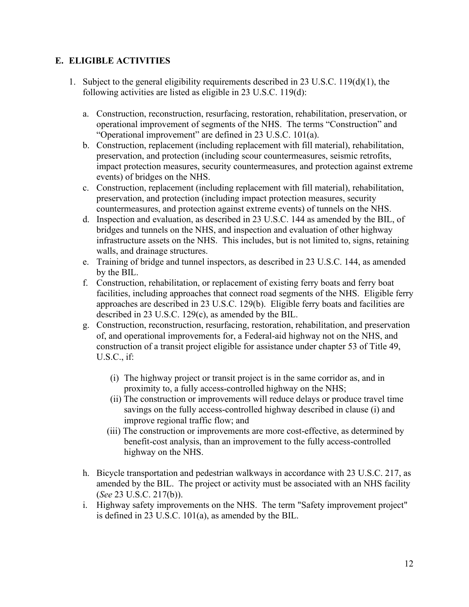# <span id="page-11-0"></span>**E. ELIGIBLE ACTIVITIES**

- 1. Subject to the general eligibility requirements described in 23 U.S.C. 119(d)(1), the following activities are listed as eligible in 23 U.S.C. 119(d):
	- a. Construction, reconstruction, resurfacing, restoration, rehabilitation, preservation, or operational improvement of segments of the NHS. The terms "Construction" and "Operational improvement" are defined in 23 U.S.C. 101(a).
	- b. Construction, replacement (including replacement with fill material), rehabilitation, preservation, and protection (including scour countermeasures, seismic retrofits, impact protection measures, security countermeasures, and protection against extreme events) of bridges on the NHS.
	- c. Construction, replacement (including replacement with fill material), rehabilitation, preservation, and protection (including impact protection measures, security countermeasures, and protection against extreme events) of tunnels on the NHS.
	- d. Inspection and evaluation, as described in 23 U.S.C. 144 as amended by the BIL, of bridges and tunnels on the NHS, and inspection and evaluation of other highway infrastructure assets on the NHS. This includes, but is not limited to, signs, retaining walls, and drainage structures.
	- e. Training of bridge and tunnel inspectors, as described in 23 U.S.C. 144, as amended by the BIL.
	- f. Construction, rehabilitation, or replacement of existing ferry boats and ferry boat facilities, including approaches that connect road segments of the NHS. Eligible ferry approaches are described in 23 U.S.C. 129(b). Eligible ferry boats and facilities are described in 23 U.S.C. 129(c), as amended by the BIL.
	- g. Construction, reconstruction, resurfacing, restoration, rehabilitation, and preservation of, and operational improvements for, a Federal-aid highway not on the NHS, and construction of a transit project eligible for assistance under chapter 53 of Title 49, U.S.C., if:
		- (i) The highway project or transit project is in the same corridor as, and in proximity to, a fully access-controlled highway on the NHS;
		- (ii) The construction or improvements will reduce delays or produce travel time savings on the fully access-controlled highway described in clause (i) and improve regional traffic flow; and
		- (iii) The construction or improvements are more cost-effective, as determined by benefit-cost analysis, than an improvement to the fully access-controlled highway on the NHS.
	- h. Bicycle transportation and pedestrian walkways in accordance with 23 U.S.C. 217, as amended by the BIL. The project or activity must be associated with an NHS facility (*See* 23 U.S.C. 217(b)).
	- i. Highway safety improvements on the NHS. The term "Safety improvement project" is defined in 23 U.S.C. 101(a), as amended by the BIL.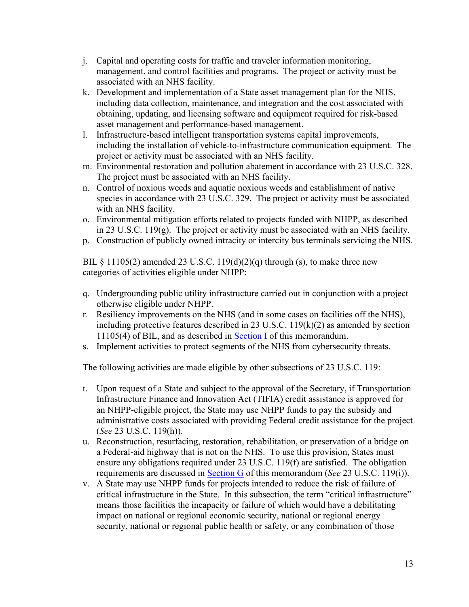- j. Capital and operating costs for traffic and traveler information monitoring, management, and control facilities and programs. The project or activity must be associated with an NHS facility.
- k. Development and implementation of a State asset management plan for the NHS, including data collection, maintenance, and integration and the cost associated with obtaining, updating, and licensing software and equipment required for risk-based asset management and performance-based management.
- l. Infrastructure-based intelligent transportation systems capital improvements, including the installation of vehicle-to-infrastructure communication equipment. The project or activity must be associated with an NHS facility.
- m. Environmental restoration and pollution abatement in accordance with 23 U.S.C. 328. The project must be associated with an NHS facility.
- n. Control of noxious weeds and aquatic noxious weeds and establishment of native species in accordance with 23 U.S.C. 329. The project or activity must be associated with an NHS facility.
- o. Environmental mitigation efforts related to projects funded with NHPP, as described in 23 U.S.C. 119(g). The project or activity must be associated with an NHS facility.
- p. Construction of publicly owned intracity or intercity bus terminals servicing the NHS.

BIL § 11105(2) amended 23 U.S.C. 119(d)(2)(q) through (s), to make three new categories of activities eligible under NHPP:

- q. Undergrounding public utility infrastructure carried out in conjunction with a project otherwise eligible under NHPP.
- r. Resiliency improvements on the NHS (and in some cases on facilities off the NHS), including protective features described in 23 U.S.C. 119(k)(2) as amended by section 11105(4) of BIL, and as described in [Section I](#page-15-0) of this memorandum.
- s. Implement activities to protect segments of the NHS from cybersecurity threats.

The following activities are made eligible by other subsections of 23 U.S.C. 119:

- t. Upon request of a State and subject to the approval of the Secretary, if Transportation Infrastructure Finance and Innovation Act (TIFIA) credit assistance is approved for an NHPP-eligible project, the State may use NHPP funds to pay the subsidy and administrative costs associated with providing Federal credit assistance for the project (*See* 23 U.S.C. 119(h)).
- u. Reconstruction, resurfacing, restoration, rehabilitation, or preservation of a bridge on a Federal-aid highway that is not on the NHS. To use this provision, States must ensure any obligations required under 23 U.S.C. 119(f) are satisfied. The obligation requirements are discussed in [Section G](#page-14-0) of this memorandum (*See* 23 U.S.C. 119(i)).
- v. A State may use NHPP funds for projects intended to reduce the risk of failure of critical infrastructure in the State.In this subsection, the term "critical infrastructure" means those facilities the incapacity or failure of which would have a debilitating impact on national or regional economic security, national or regional energy security, national or regional public health or safety, or any combination of those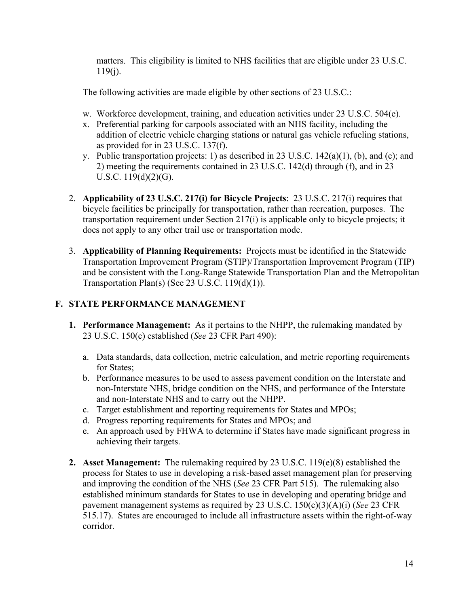matters. This eligibility is limited to NHS facilities that are eligible under 23 U.S.C.  $119(j)$ .

The following activities are made eligible by other sections of 23 U.S.C.:

- w. Workforce development, training, and education activities under 23 U.S.C. 504(e).
- x. Preferential parking for carpools associated with an NHS facility, including the addition of electric vehicle charging stations or natural gas vehicle refueling stations, as provided for in 23 U.S.C. 137(f).
- y. Public transportation projects: 1) as described in 23 U.S.C. 142(a)(1), (b), and (c); and 2) meeting the requirements contained in 23 U.S.C. 142(d) through (f), and in 23 U.S.C. 119(d)(2)(G).
- 2. **Applicability of 23 U.S.C. 217(i) for Bicycle Projects**: 23 U.S.C. 217(i) requires that bicycle facilities be principally for transportation, rather than recreation, purposes. The transportation requirement under Section 217(i) is applicable only to bicycle projects; it does not apply to any other trail use or transportation mode.
- 3. **Applicability of Planning Requirements:** Projects must be identified in the Statewide Transportation Improvement Program (STIP)/Transportation Improvement Program (TIP) and be consistent with the Long-Range Statewide Transportation Plan and the Metropolitan Transportation Plan(s) (See 23 U.S.C.  $119(d)(1)$ ).

# <span id="page-13-0"></span>**F. STATE PERFORMANCE MANAGEMENT**

- **1. Performance Management:** As it pertains to the NHPP, the rulemaking mandated by 23 U.S.C. 150(c) established (*See* 23 CFR Part 490):
	- a. Data standards, data collection, metric calculation, and metric reporting requirements for States;
	- b. Performance measures to be used to assess pavement condition on the Interstate and non-Interstate NHS, bridge condition on the NHS, and performance of the Interstate and non-Interstate NHS and to carry out the NHPP.
	- c. Target establishment and reporting requirements for States and MPOs;
	- d. Progress reporting requirements for States and MPOs; and
	- e. An approach used by FHWA to determine if States have made significant progress in achieving their targets.
- **2. Asset Management:** The rulemaking required by 23 U.S.C. 119(e)(8) established the process for States to use in developing a risk-based asset management plan for preserving and improving the condition of the NHS (*See* 23 CFR Part 515). The rulemaking also established minimum standards for States to use in developing and operating bridge and pavement management systems as required by 23 U.S.C. 150(c)(3)(A)(i) (*See* 23 CFR 515.17). States are encouraged to include all infrastructure assets within the right-of-way corridor.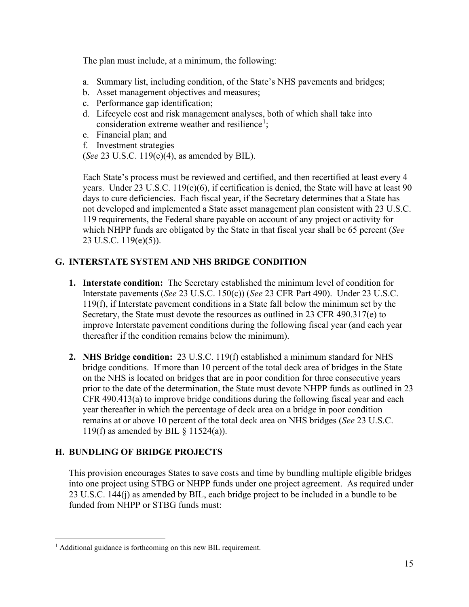The plan must include, at a minimum, the following:

- a. Summary list, including condition, of the State's NHS pavements and bridges;
- b. Asset management objectives and measures;
- c. Performance gap identification;
- d. Lifecycle cost and risk management analyses, both of which shall take into consideration extreme weather and resilience<sup>[1](#page-14-2)</sup>;
- e. Financial plan; and
- f. Investment strategies

(*See* 23 U.S.C. 119(e)(4), as amended by BIL).

Each State's process must be reviewed and certified, and then recertified at least every 4 years. Under 23 U.S.C. 119(e)(6), if certification is denied, the State will have at least 90 days to cure deficiencies. Each fiscal year, if the Secretary determines that a State has not developed and implemented a State asset management plan consistent with 23 U.S.C. 119 requirements, the Federal share payable on account of any project or activity for which NHPP funds are obligated by the State in that fiscal year shall be 65 percent (*See* 23 U.S.C. 119(e)(5)).

# <span id="page-14-0"></span>**G. INTERSTATE SYSTEM AND NHS BRIDGE CONDITION**

- **1. Interstate condition:** The Secretary established the minimum level of condition for Interstate pavements (*See* 23 U.S.C. 150(c)) (*See* 23 CFR Part 490). Under 23 U.S.C. 119(f), if Interstate pavement conditions in a State fall below the minimum set by the Secretary, the State must devote the resources as outlined in 23 CFR 490.317(e) to improve Interstate pavement conditions during the following fiscal year (and each year thereafter if the condition remains below the minimum).
- **2. NHS Bridge condition:** 23 U.S.C. 119(f) established a minimum standard for NHS bridge conditions. If more than 10 percent of the total deck area of bridges in the State on the NHS is located on bridges that are in poor condition for three consecutive years prior to the date of the determination, the State must devote NHPP funds as outlined in 23 CFR 490.413(a) to improve bridge conditions during the following fiscal year and each year thereafter in which the percentage of deck area on a bridge in poor condition remains at or above 10 percent of the total deck area on NHS bridges (*See* 23 U.S.C. 119(f) as amended by BIL § 11524(a)).

# <span id="page-14-1"></span>**H. BUNDLING OF BRIDGE PROJECTS**

This provision encourages States to save costs and time by bundling multiple eligible bridges into one project using STBG or NHPP funds under one project agreement. As required under 23 U.S.C. 144(j) as amended by BIL, each bridge project to be included in a bundle to be funded from NHPP or STBG funds must:

<span id="page-14-2"></span><sup>&</sup>lt;sup>1</sup> Additional guidance is forthcoming on this new BIL requirement.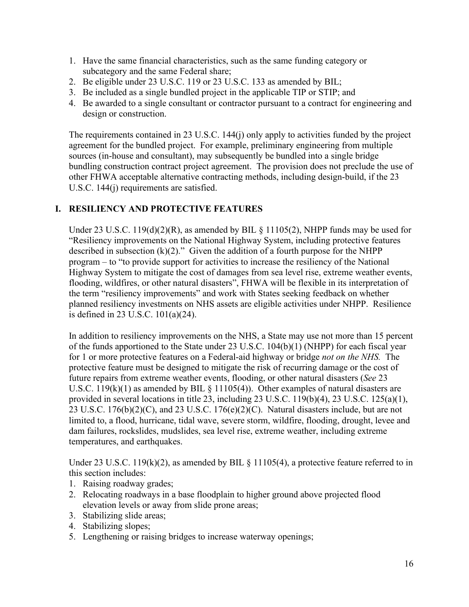- 1. Have the same financial characteristics, such as the same funding category or subcategory and the same Federal share;
- 2. Be eligible under 23 U.S.C. 119 or 23 U.S.C. 133 as amended by BIL;
- 3. Be included as a single bundled project in the applicable TIP or STIP; and
- 4. Be awarded to a single consultant or contractor pursuant to a contract for engineering and design or construction.

The requirements contained in 23 U.S.C. 144(j) only apply to activities funded by the project agreement for the bundled project. For example, preliminary engineering from multiple sources (in-house and consultant), may subsequently be bundled into a single bridge bundling construction contract project agreement. The provision does not preclude the use of other FHWA acceptable alternative contracting methods, including design-build, if the 23 U.S.C. 144(j) requirements are satisfied.

# <span id="page-15-0"></span>**I. RESILIENCY AND PROTECTIVE FEATURES**

Under 23 U.S.C. 119(d)(2)(R), as amended by BIL § 11105(2), NHPP funds may be used for "Resiliency improvements on the National Highway System, including protective features described in subsection  $(k)(2)$ ." Given the addition of a fourth purpose for the NHPP program – to "to provide support for activities to increase the resiliency of the National Highway System to mitigate the cost of damages from sea level rise, extreme weather events, flooding, wildfires, or other natural disasters", FHWA will be flexible in its interpretation of the term "resiliency improvements" and work with States seeking feedback on whether planned resiliency investments on NHS assets are eligible activities under NHPP. Resilience is defined in 23 U.S.C. 101(a)(24).

In addition to resiliency improvements on the NHS, a State may use not more than 15 percent of the funds apportioned to the State under 23 U.S.C. 104(b)(1) (NHPP) for each fiscal year for 1 or more protective features on a Federal-aid highway or bridge *not on the NHS.* The protective feature must be designed to mitigate the risk of recurring damage or the cost of future repairs from extreme weather events, flooding, or other natural disasters (*See* 23 U.S.C. 119 $(k)(1)$  as amended by BIL § 11105(4)). Other examples of natural disasters are provided in several locations in title 23, including 23 U.S.C. 119(b)(4), 23 U.S.C. 125(a)(1), 23 U.S.C.  $176(b)(2)(C)$ , and 23 U.S.C.  $176(e)(2)(C)$ . Natural disasters include, but are not limited to, a flood, hurricane, tidal wave, severe storm, wildfire, flooding, drought, levee and dam failures, rockslides, mudslides, sea level rise, extreme weather, including extreme temperatures, and earthquakes.

Under 23 U.S.C. 119(k)(2), as amended by BIL § 11105(4), a protective feature referred to in this section includes:

- 1. Raising roadway grades;
- 2. Relocating roadways in a base floodplain to higher ground above projected flood elevation levels or away from slide prone areas;
- 3. Stabilizing slide areas;
- 4. Stabilizing slopes;
- 5. Lengthening or raising bridges to increase waterway openings;